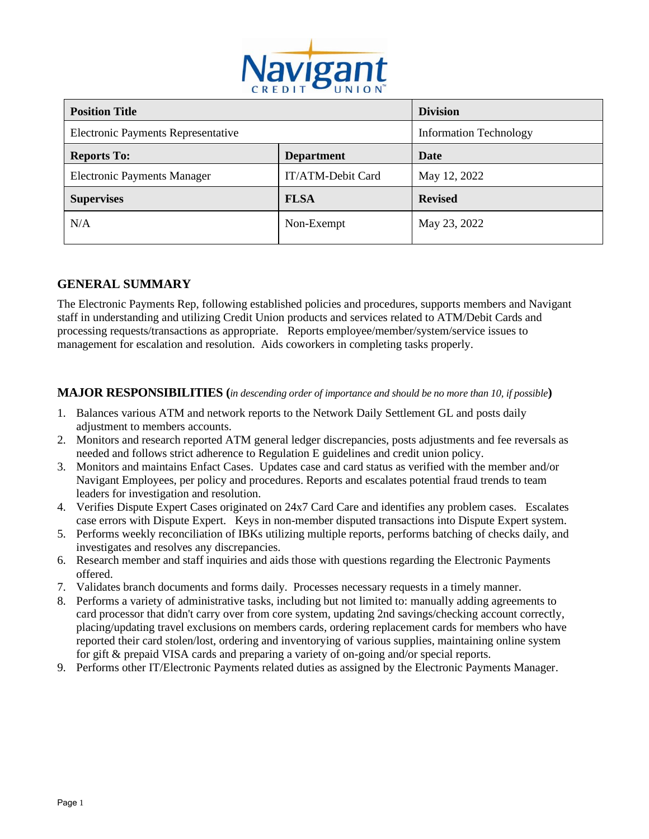

| <b>Position Title</b>              |                   | <b>Division</b>               |
|------------------------------------|-------------------|-------------------------------|
| Electronic Payments Representative |                   | <b>Information Technology</b> |
| <b>Reports To:</b>                 | <b>Department</b> | Date                          |
| <b>Electronic Payments Manager</b> | IT/ATM-Debit Card | May 12, 2022                  |
| <b>Supervises</b>                  | <b>FLSA</b>       | <b>Revised</b>                |
| N/A                                | Non-Exempt        | May 23, 2022                  |

## **GENERAL SUMMARY**

The Electronic Payments Rep, following established policies and procedures, supports members and Navigant staff in understanding and utilizing Credit Union products and services related to ATM/Debit Cards and processing requests/transactions as appropriate. Reports employee/member/system/service issues to management for escalation and resolution. Aids coworkers in completing tasks properly.

#### **MAJOR RESPONSIBILITIES (***in descending order of importance and should be no more than 10, if possible***)**

- 1. Balances various ATM and network reports to the Network Daily Settlement GL and posts daily adjustment to members accounts.
- 2. Monitors and research reported ATM general ledger discrepancies, posts adjustments and fee reversals as needed and follows strict adherence to Regulation E guidelines and credit union policy.
- 3. Monitors and maintains Enfact Cases. Updates case and card status as verified with the member and/or Navigant Employees, per policy and procedures. Reports and escalates potential fraud trends to team leaders for investigation and resolution.
- 4. Verifies Dispute Expert Cases originated on 24x7 Card Care and identifies any problem cases. Escalates case errors with Dispute Expert. Keys in non-member disputed transactions into Dispute Expert system.
- 5. Performs weekly reconciliation of IBKs utilizing multiple reports, performs batching of checks daily, and investigates and resolves any discrepancies.
- 6. Research member and staff inquiries and aids those with questions regarding the Electronic Payments offered.
- 7. Validates branch documents and forms daily. Processes necessary requests in a timely manner.
- 8. Performs a variety of administrative tasks, including but not limited to: manually adding agreements to card processor that didn't carry over from core system, updating 2nd savings/checking account correctly, placing/updating travel exclusions on members cards, ordering replacement cards for members who have reported their card stolen/lost, ordering and inventorying of various supplies, maintaining online system for gift & prepaid VISA cards and preparing a variety of on-going and/or special reports.
- 9. Performs other IT/Electronic Payments related duties as assigned by the Electronic Payments Manager.